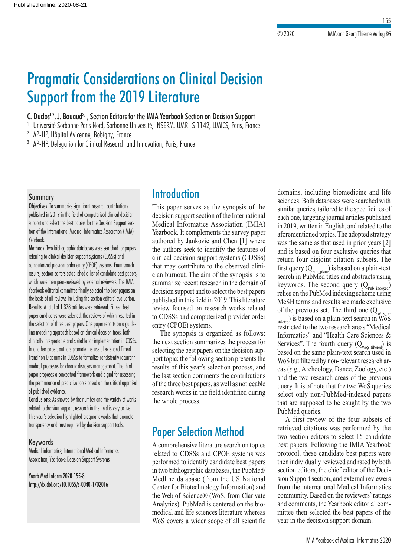# Pragmatic Considerations on Clinical Decision Support from the 2019 Literature

C. Duclos<sup>1,2</sup>, J. Bouaud<sup>3,1</sup>, Section Editors for the IMIA Yearbook Section on Decision Support

Université Sorbonne Paris Nord, Sorbonne Université, INSERM, UMR S 1142, LIMICS, Paris, France

<sup>2</sup> AP-HP, Hôpital Avicenne, Bobigny, France

<sup>3</sup> AP-HP, Delegation for Clinical Research and Innovation, Paris, France

### Summary

Objectives: To summarize significant research contributions published in 2019 in the field of computerized clinical decision support and select the best papers for the Decision Support section of the International Medical Informatics Association (IMIA) Yearbook.

Methods: Two bibliographic databases were searched for papers referring to clinical decision support systems (CDSSs) and computerized provider order entry (CPOE) systems. From search results, section editors established a list of candidate best papers, which were then peer-reviewed by external reviewers. The IMIA Yearbook editorial committee finally selected the best papers on the basis of all reviews including the section editors' evaluation. Results: A total of 1,378 articles were retrieved. Fifteen best paper candidates were selected, the reviews of which resulted in the selection of three best papers. One paper reports on a guideline modeling approach based on clinical decision trees, both clinically interpretable and suitable for implementation in CDSSs. In another paper, authors promote the use of extended Timed Transition Diagrams in CDSSs to formalize consistently recurrent medical processes for chronic diseases management. The third paper proposes a conceptual framework and a grid for assessing the performance of predictive tools based on the critical appraisal of published evidence.

Conclusions: As showed by the number and the variety of works related to decision support, research in the field is very active. This year's selection highlighted pragmatic works that promote transparency and trust required by decision support tools.

### Keywords

Medical informatics; International Medical Informatics Association; Yearbook; Decision Support Systems

Yearb Med Inform 2020:155-8 http://dx.doi.org/10.1055/s-0040-1702016

# **Introduction**

This paper serves as the synopsis of the decision support section of the International Medical Informatics Association (IMIA) Yearbook. It complements the survey paper authored by Jankovic and Chen [1] where the authors seek to identify the features of clinical decision support systems (CDSSs) that may contribute to the observed clinician burnout. The aim of the synopsis is to summarize recent research in the domain of decision support and to select the best papers published in this field in 2019. This literature review focused on research works related to CDSSs and computerized provider order entry (CPOE) systems.

The synopsis is organized as follows: the next section summarizes the process for selecting the best papers on the decision support topic; the following section presents the results of this year's selection process, and the last section comments the contributions of the three best papers, as well as noticeable research works in the field identified during the whole process.

# Paper Selection Method

A comprehensive literature search on topics related to CDSSs and CPOE systems was performed to identify candidate best papers in two bibliographic databases, the PubMed/ Medline database (from the US National Center for Biotechnology Information) and the Web of Science® (WoS, from Clarivate Analytics). PubMed is centered on the biomedical and life sciences literature whereas WoS covers a wider scope of all scientific domains, including biomedicine and life sciences. Both databases were searched with similar queries, tailored to the specificities of each one, targeting journal articles published in 2019, written in English, and related to the aforementioned topics. The adopted strategy was the same as that used in prior years [2] and is based on four exclusive queries that return four disjoint citation subsets. The first query  $(Q_{\text{pub\_plain}})$  is based on a plain-text search in PubMed titles and abstracts using keywords. The second query  $(Q_{\text{Pub\_indexed}})$ relies on the PubMed indexing scheme using MeSH terms and results are made exclusive of the previous set. The third one  $(Q_{\text{w}_sS})$ 

stricted) is based on a plain-text search in  $\widetilde{WoS}$ restricted to the two research areas "Medical Informatics" and "Health Care Sciences & Services". The fourth query  $(Q_{WoS\_filtered})$  is based on the same plain-text search used in WoS but filtered by non-relevant research areas (*e.g.,* Archeology, Dance, Zoology, etc.) and the two research areas of the previous query. It is of note that the two WoS queries select only non-PubMed-indexed papers that are supposed to be caught by the two PubMed queries.

A first review of the four subsets of retrieved citations was performed by the two section editors to select 15 candidate best papers. Following the IMIA Yearbook protocol, these candidate best papers were then individually reviewed and rated by both section editors, the chief editor of the Decision Support section, and external reviewers from the international Medical Informatics community. Based on the reviewers' ratings and comments, the Yearbook editorial committee then selected the best papers of the year in the decision support domain.

155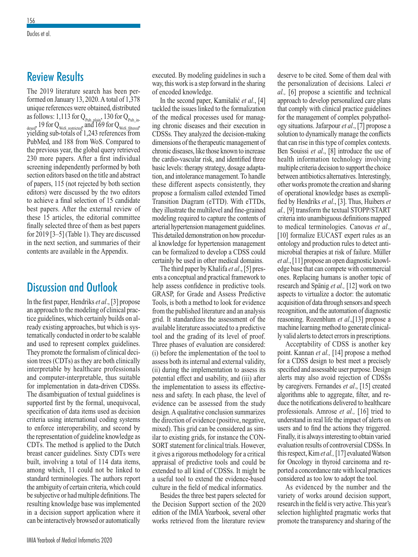# Review Results

The 2019 literature search has been performed on January 13, 2020. A total of 1,378 unique references were obtained, distributed as follows: 1,113 for  $Q_{\text{pub\_plain}}$ , 130 for  $Q_{\text{pub\_in}}$ dexed, 19 for  $Q_{\text{WoS\_restricted}}$ , and 169 for  $Q_{\text{WoS\_filtered}}$ , yielding sub-totals of 1,243 references from PubMed, and 188 from WoS. Compared to the previous year, the global query retrieved 230 more papers. After a first individual screening independently performed by both section editors based on the title and abstract of papers, 115 (not rejected by both section editors) were discussed by the two editors to achieve a final selection of 15 candidate best papers. After the external review of these 15 articles, the editorial committee finally selected three of them as best papers for 2019 [3–5] (Table 1). They are discussed in the next section, and summaries of their contents are available in the Appendix.

# Discussion and Outlook

In the first paper, Hendriks *et al*., [3] propose an approach to the modeling of clinical practice guidelines, which certainly builds on already existing approaches, but which is systematically conducted in order to be scalable and used to represent complex guidelines. They promote the formalism of clinical decision trees (CDTs) as they are both clinically interpretable by healthcare professionals and computer-interpretable, thus suitable for implementation in data-driven CDSSs. The disambiguation of textual guidelines is supported first by the formal, unequivocal, specification of data items used as decision criteria using international coding systems to enforce interoperability, and second by the representation of guideline knowledge as CDTs. The method is applied to the Dutch breast cancer guidelines. Sixty CDTs were built, involving a total of 114 data items, among which, 11 could not be linked to standard terminologies. The authors report the ambiguity of certain criteria, which could be subjective or had multiple definitions. The resulting knowledge base was implemented in a decision support application where it can be interactively browsed or automatically executed. By modeling guidelines in such a way, this work is a step forward in the sharing of encoded knowledge.

In the second paper, Kamišalić *et al*., [4] tackled the issues linked to the formalization of the medical processes used for managing chronic diseases and their execution in CDSSs. They analyzed the decision-making dimensions of the therapeutic management of chronic diseases, like those known to increase the cardio-vascular risk, and identified three basic levels: therapy strategy, dosage adaptation, and intolerance management. To handle these different aspects consistently, they propose a formalism called extended Timed Transition Diagram (eTTD). With eTTDs, they illustrate the multilevel and fine-grained modeling required to capture the contents of arterial hypertension management guidelines. This detailed demonstration on how procedural knowledge for hypertension management can be formalized to develop a CDSS could certainly be used in other medical domains.

The third paper by Khalifa *et al*., [5] presents a conceptual and practical framework to help assess confidence in predictive tools. GRASP, for Grade and Assess Predictive Tools, is both a method to look for evidence from the published literature and an analysis grid. It standardizes the assessment of the available literature associated to a predictive tool and the grading of its level of proof. Three phases of evaluation are considered: (i) before the implementation of the tool to assess both its internal and external validity, (ii) during the implementation to assess its potential effect and usability, and (iii) after the implementation to assess its effectiveness and safety. In each phase, the level of evidence can be assessed from the study design. A qualitative conclusion summarizes the direction of evidence (positive, negative, mixed). This grid can be considered as similar to existing grids, for instance the CON-SORT statement for clinical trials. However, it gives a rigorous methodology for a critical appraisal of predictive tools and could be extended to all kind of CDSSs. It might be a useful tool to extend the evidence-based culture in the field of medical informatics.

Besides the three best papers selected for the Decision Support section of the 2020 edition of the IMIA Yearbook, several other works retrieved from the literature review deserve to be cited. Some of them deal with the personalization of decisions. Laleci *et al.,* [6] propose a scientific and technical approach to develop personalized care plans that comply with clinical practice guidelines for the management of complex polypathology situations. Jafarpour *et al*., [7] propose a solution to dynamically manage the conflicts that can rise in this type of complex contexts. Ben Souissi *et al*., [8] introduce the use of health information technology involving multiple criteria decision to support the choice between antibiotics alternatives. Interestingly, other works promote the creation and sharing of operational knowledge bases as exemplified by Hendriks *et al*., [3]. Thus, Huibers *et al.,* [9] transform the textual STOPP/START criteria into unambiguous definitions mapped to medical terminologies. Canovas *et al*., [10] formalize EUCAST expert rules as an ontology and production rules to detect antimicrobial therapies at risk of failure. Müller *et al*., [11] propose an open diagnostic knowledge base that can compete with commercial ones. Replacing humans is another topic of research and Spänig *et al.,* [12] work on two aspects to virtualize a doctor: the automatic acquisition of data through sensors and speech recognition, and the automation of diagnostic reasoning. Rozenblum *et al*.,[13] propose a machine learning method to generate clinically valid alerts to detect errors in prescriptions.

Acceptability of CDSS is another key point. Kannan *et al.,* [14] propose a method for a CDSS design to best meet a precisely specified and assessable user purpose. Design alerts may also avoid rejection of CDSSs by caregivers. Fernandes *et al*., [15] created algorithms able to aggregate, filter, and reduce the notifications delivered to healthcare professionals. Amrose *et al.,* [16] tried to understand in real life the impact of alerts on users and to find the actions they triggered. Finally, it is always interesting to obtain varied evaluation results of controversial CDSSs. In this respect, Kim *et al.,* [17] evaluated Watson for Oncology in thyroid carcinoma and reported a concordance rate with local practices considered as too low to adopt the tool.

As evidenced by the number and the variety of works around decision support, research in the field is very active. This year's selection highlighted pragmatic works that promote the transparency and sharing of the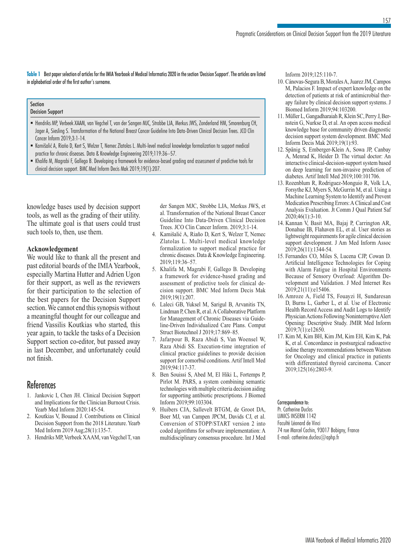**Table 1** Best paper selection of articles for the IMIA Yearbook of Medical Informatics 2020 in the section 'Decision Support'. The articles are listed in alphabetical order of the first author's surname.

#### Section Decision Support

- Hendriks MP, Verbeek XAAM, van Vegchel T, van der Sangen MJC, Strobbe LJA, Merkus JWS, Zonderland HM, Smorenburg CH, Jager A, Siesling S. Transformation of the National Breast Cancer Guideline Into Data-Driven Clinical Decision Trees. JCO Clin Cancer Inform 2019;3:1-14.
- Kamišalić A, Riaño D, Kert S, Welzer T, Nemec Zlatolas L. Multi-level medical knowledge formalization to support medical practice for chronic diseases. Data & Knowledge Engineering 2019;119:36–57.
- Khalifa M, Magrabi F, Gallego B. Developing a framework for evidence-based grading and assessment of predictive tools for clinical decision support. BMC Med Inform Decis Mak 2019;19(1):207.

knowledge bases used by decision support tools, as well as the grading of their utility. The ultimate goal is that users could trust such tools to, then, use them.

### **Acknowledgement**

We would like to thank all the present and past editorial boards of the IMIA Yearbook, especially Martina Hutter and Adrien Ugon for their support, as well as the reviewers for their participation to the selection of the best papers for the Decision Support section. We cannot end this synopsis without a meaningful thought for our colleague and friend Vassilis Koutkias who started, this year again, to tackle the tasks of a Decision Support section co-editor, but passed away in last December, and unfortunately could not finish.

# References

- 1. Jankovic I, Chen JH. Clinical Decision Support and Implications for the Clinician Burnout Crisis. Yearb Med Inform 2020:145-54.
- 2. Koutkias V, Bouaud J. Contributions on Clinical Decision Support from the 2018 Literature. Yearb Med Inform 2019 Aug;28(1):135-7.
- 3. Hendriks MP, Verbeek XAAM, van Vegchel T, van

der Sangen MJC, Strobbe LJA, Merkus JWS, et al. Transformation of the National Breast Cancer Guideline Into Data-Driven Clinical Decision Trees. JCO Clin Cancer Inform. 2019;3:1-14.

- 4. Kamišalić A, Riaño D, Kert S, Welzer T, Nemec Zlatolas L. Multi-level medical knowledge formalization to support medical practice for chronic diseases. Data & Knowledge Engineering. 2019;119:36–57.
- 5. Khalifa M, Magrabi F, Gallego B. Developing a framework for evidence-based grading and assessment of predictive tools for clinical decision support. BMC Med Inform Decis Mak 2019;19(1):207.
- 6. Laleci GB, Yuksel M, Sarigul B, Arvanitis TN, Lindman P, Chen R, et al. A Collaborative Platform for Management of Chronic Diseases via Guideline-Driven Individualized Care Plans. Comput Struct Biotechnol J 2019;17:869–85.
- 7. Jafarpour B, Raza Abidi S, Van Woensel W, Raza Abidi SS. Execution-time integration of clinical practice guidelines to provide decision support for comorbid conditions. Artif Intell Med 2019;94:117-37.
- 8. Ben Souissi S, Abed M, El Hiki L, Fortemps P, Pirlot M. PARS, a system combining semantic technologies with multiple criteria decision aiding for supporting antibiotic prescriptions. J Biomed Inform 2019;99:103304.
- 9. Huibers CJA, Sallevelt BTGM, de Groot DA, Boer MJ, van Campen JPCM, Davids CJ, et al. Conversion of STOPP/START version 2 into coded algorithms for software implementation: A multidisciplinary consensus procedure. Int J Med

Inform 2019;125:110-7.

10. Cánovas-Segura B, Morales A, Juarez JM, Campos M, Palacios F. Impact of expert knowledge on the detection of patients at risk of antimicrobial therapy failure by clinical decision support systems. J Biomed Inform 2019;94:103200.

157

- 11. Müller L, Gangadharaiah R, Klein SC, Perry J, Bernstein G, Nurkse D, et al. An open access medical knowledge base for community driven diagnostic decision support system development. BMC Med Inform Decis Mak 2019;19(1):93.
- 12. Spänig S, Emberger-Klein A, Sowa JP, Canbay A, Menrad K, Heider D. The virtual doctor: An interactive clinical-decision-support system based on deep learning for non-invasive prediction of diabetes. Artif Intell Med 2019;100:101706.
- 13. Rozenblum R, Rodriguez-Monguio R, Volk LA, Forsythe KJ, Myers S, McGurrin M, et al. Using a Machine Learning System to Identify and Prevent Medication Prescribing Errors: A Clinical and Cost Analysis Evaluation. Jt Comm J Qual Patient Saf 2020;46(1):3-10.
- 14. Kannan V, Basit MA, Bajaj P, Carrington AR, Donahue IB, Flahaven EL, et al. User stories as lightweight requirements for agile clinical decision support development. J Am Med Inform Assoc 2019;26(11):1344-54.
- 15. Fernandes CO, Miles S, Lucena CJP, Cowan D. Artificial Intelligence Technologies for Coping with Alarm Fatigue in Hospital Environments Because of Sensory Overload: Algorithm Development and Validation. J Med Internet Res 2019;21(11):e15406.
- 16. Amroze A, Field TS, Fouayzi H, Sundaresan D, Burns L, Garber L, et al. Use of Electronic Health Record Access and Audit Logs to Identify Physician Actions Following Noninterruptive Alert Opening: Descriptive Study. JMIR Med Inform 2019;7(1):e12650.
- 17. Kim M, Kim BH, Kim JM, Kim EH, Kim K, Pak K, et al. Concordance in postsurgical radioactive iodine therapy recommendations between Watson for Oncology and clinical practice in patients with differentiated thyroid carcinoma. Cancer 2019;125(16):2803-9.

### Correspondence to:

Pr. Catherine Duclos LIMICS INSERM 1142 Faculté Léonard de Vinci 74 rue Marcel Cachin, 93017 Bobigny, France E-mail: catherine.duclos@aphp.fr